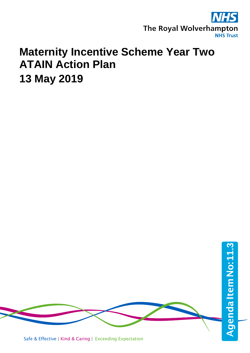

# **Maternity Incentive Scheme Year Two ATAIN Action Plan 13 May 2019**

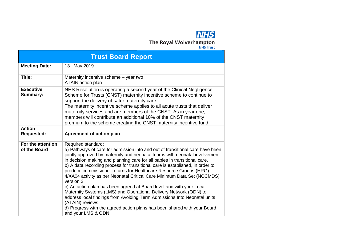# **NHS** The Royal Wolverhampton

| <b>Trust Board Report</b>           |                                                                                                                                                                                                                                                                                                                                                                                                                                                                                                                                                                                                                                                                                                                                                                                                                                                              |  |  |  |
|-------------------------------------|--------------------------------------------------------------------------------------------------------------------------------------------------------------------------------------------------------------------------------------------------------------------------------------------------------------------------------------------------------------------------------------------------------------------------------------------------------------------------------------------------------------------------------------------------------------------------------------------------------------------------------------------------------------------------------------------------------------------------------------------------------------------------------------------------------------------------------------------------------------|--|--|--|
| <b>Meeting Date:</b>                | 13 <sup>th</sup> May 2019                                                                                                                                                                                                                                                                                                                                                                                                                                                                                                                                                                                                                                                                                                                                                                                                                                    |  |  |  |
| Title:                              | Maternity incentive scheme - year two<br><b>ATAIN</b> action plan                                                                                                                                                                                                                                                                                                                                                                                                                                                                                                                                                                                                                                                                                                                                                                                            |  |  |  |
| <b>Executive</b><br><b>Summary:</b> | NHS Resolution is operating a second year of the Clinical Negligence<br>Scheme for Trusts (CNST) maternity incentive scheme to continue to<br>support the delivery of safer maternity care.<br>The maternity incentive scheme applies to all acute trusts that deliver<br>maternity services and are members of the CNST. As in year one,<br>members will contribute an additional 10% of the CNST maternity<br>premium to the scheme creating the CNST maternity incentive fund.                                                                                                                                                                                                                                                                                                                                                                            |  |  |  |
| <b>Action</b><br><b>Requested:</b>  | <b>Agreement of action plan</b>                                                                                                                                                                                                                                                                                                                                                                                                                                                                                                                                                                                                                                                                                                                                                                                                                              |  |  |  |
| For the attention<br>of the Board   | Required standard:<br>a) Pathways of care for admission into and out of transitional care have been<br>jointly approved by maternity and neonatal teams with neonatal involvement<br>in decision making and planning care for all babies in transitional care.<br>b) A data recording process for transitional care is established, in order to<br>produce commissioner returns for Healthcare Resource Groups (HRG)<br>4/XA04 activity as per Neonatal Critical Care Minimum Data Set (NCCMDS)<br>version 2.<br>c) An action plan has been agreed at Board level and with your Local<br>Maternity Systems (LMS) and Operational Delivery Network (ODN) to<br>address local findings from Avoiding Term Admissions Into Neonatal units<br>(ATAIN) reviews.<br>d) Progress with the agreed action plans has been shared with your Board<br>and your LMS & ODN |  |  |  |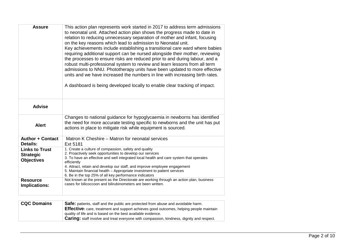| <b>Assure</b>                                                  | This action plan represents work started in 2017 to address term admissions<br>to neonatal unit. Attached action plan shows the progress made to date in<br>relation to reducing unnecessary separation of mother and infant, focusing<br>on the key reasons which lead to admission to Neonatal unit.<br>Key achievements include establishing a transitional care ward where babies<br>requiring additional support can be nursed alongside their mother, reviewing<br>the processes to ensure risks are reduced prior to and during labour, and a<br>robust multi-professional system to review and learn lessons from all term<br>admissions to NNU. Phototherapy units have been updated to more effective<br>units and we have increased the numbers in line with increasing birth rates.<br>A dashboard is being developed locally to enable clear tracking of impact. |
|----------------------------------------------------------------|-------------------------------------------------------------------------------------------------------------------------------------------------------------------------------------------------------------------------------------------------------------------------------------------------------------------------------------------------------------------------------------------------------------------------------------------------------------------------------------------------------------------------------------------------------------------------------------------------------------------------------------------------------------------------------------------------------------------------------------------------------------------------------------------------------------------------------------------------------------------------------|
| <b>Advise</b>                                                  |                                                                                                                                                                                                                                                                                                                                                                                                                                                                                                                                                                                                                                                                                                                                                                                                                                                                               |
| <b>Alert</b>                                                   | Changes to national guidance for hypoglycaemia in newborns has identified<br>the need for more accurate testing specific to newborns and the unit has put<br>actions in place to mitigate risk while equipment is sourced.                                                                                                                                                                                                                                                                                                                                                                                                                                                                                                                                                                                                                                                    |
| <b>Author + Contact</b><br><b>Details:</b>                     | Matron K Cheshire – Matron for neonatal services<br>Ext 5181                                                                                                                                                                                                                                                                                                                                                                                                                                                                                                                                                                                                                                                                                                                                                                                                                  |
| <b>Links to Trust</b><br><b>Strategic</b><br><b>Objectives</b> | 1. Create a culture of compassion, safety and quality<br>2. Proactively seek opportunities to develop our services<br>3. To have an effective and well integrated local health and care system that operates<br>efficiently<br>4. Attract, retain and develop our staff, and improve employee engagement<br>5. Maintain financial health - Appropriate investment to patient services<br>6. Be in the top 25% of all key performance indicators                                                                                                                                                                                                                                                                                                                                                                                                                               |
| <b>Resource</b><br>Implications:                               | Not known at the present as the Directorate are working through an action plan, business<br>cases for bilicoccoon and bilirubinometers are been written.                                                                                                                                                                                                                                                                                                                                                                                                                                                                                                                                                                                                                                                                                                                      |

| <b>CQC Domains</b> | <b>Safe:</b> patients, staff and the public are protected from abuse and avoidable harm.        |
|--------------------|-------------------------------------------------------------------------------------------------|
|                    | <b>Effective:</b> care, treatment and support achieves good outcomes, helping people maintain   |
|                    | quality of life and is based on the best available evidence.                                    |
|                    | <b>Caring:</b> staff involve and treat everyone with compassion, kindness, dignity and respect. |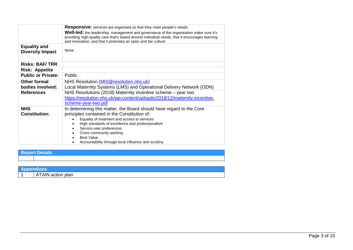|                                                | <b>Responsive:</b> services are organised so that they meet people's needs.                                                                                                                                                                                                                                                                                 |
|------------------------------------------------|-------------------------------------------------------------------------------------------------------------------------------------------------------------------------------------------------------------------------------------------------------------------------------------------------------------------------------------------------------------|
|                                                | <b>Well-led:</b> the leadership, management and governance of the organisation make sure it's<br>providing high-quality care that's based around individual needs, that it encourages learning<br>and innovation, and that it promotes an open and fair culture.                                                                                            |
| <b>Equality and</b><br><b>Diversity Impact</b> | None                                                                                                                                                                                                                                                                                                                                                        |
| <b>Risks: BAF/TRR</b>                          |                                                                                                                                                                                                                                                                                                                                                             |
| <b>Risk: Appetite</b>                          |                                                                                                                                                                                                                                                                                                                                                             |
| <b>Public or Private:</b>                      | Public                                                                                                                                                                                                                                                                                                                                                      |
| <b>Other formal</b><br>bodies involved:        | NHS Resolution (MIS@resolution.nhs.uk)<br>Local Maternity Systems (LMS) and Operational Delivery Network (ODN)                                                                                                                                                                                                                                              |
| <b>References</b>                              | NHS Resolutions (2018) Maternity incentive scheme – year two<br>https://resolution.nhs.uk/wp-content/uploads/2018/12/maternity-incentive-<br>scheme-year-two.pdf                                                                                                                                                                                            |
| <b>NHS</b><br><b>Constitution:</b>             | In determining this matter, the Board should have regard to the Core<br>principles contained in the Constitution of:<br>Equality of treatment and access to services<br>High standards of excellence and professionalism<br>Service user preferences<br>Cross community working<br><b>Best Value</b><br>Accountability through local influence and scrutiny |

**Report Details** 

| <b>Appendices</b> |
|-------------------|
| ATAIN action plan |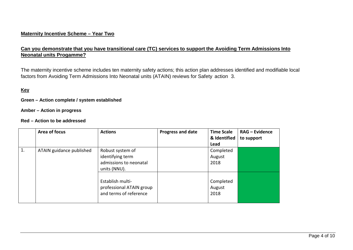## **Maternity Incentive Scheme – Year Two**

# **Can you demonstrate that you have transitional care (TC) services to support the Avoiding Term Admissions Into Neonatal units Progamme?**

The maternity incentive scheme includes ten maternity safety actions; this action plan addresses identified and modifiable local factors from Avoiding Term Admissions Into Neonatal units (ATAIN) reviews for Safety action 3.

### **Key**

**Green – Action complete / system established**

**Amber – Action in progress**

#### **Red – Action to be addressed**

|                  | Area of focus            | <b>Actions</b>                                                                 | Progress and date | <b>Time Scale</b><br>& Identified<br>Lead | <b>RAG - Evidence</b><br>to support |
|------------------|--------------------------|--------------------------------------------------------------------------------|-------------------|-------------------------------------------|-------------------------------------|
| $\overline{1}$ . | ATAIN guidance published | Robust system of<br>identifying term<br>admissions to neonatal<br>units (NNU). |                   | Completed<br>August<br>2018               |                                     |
|                  |                          | Establish multi-<br>professional ATAIN group<br>and terms of reference         |                   | Completed<br>August<br>2018               |                                     |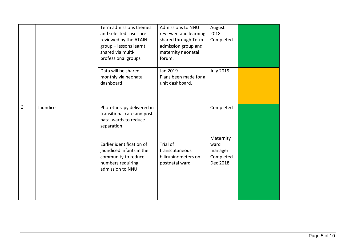|                  |          | Term admissions themes<br>and selected cases are<br>reviewed by the ATAIN<br>group - lessons learnt<br>shared via multi-<br>professional groups | <b>Admissions to NNU</b><br>reviewed and learning<br>shared through Term<br>admission group and<br>maternity neonatal<br>forum. | August<br>2018<br>Completed                           |  |
|------------------|----------|-------------------------------------------------------------------------------------------------------------------------------------------------|---------------------------------------------------------------------------------------------------------------------------------|-------------------------------------------------------|--|
|                  |          | Data will be shared<br>monthly via neonatal<br>dashboard                                                                                        | Jan 2019<br>Plans been made for a<br>unit dashboard.                                                                            | <b>July 2019</b>                                      |  |
| $\overline{2}$ . | Jaundice | Phototherapy delivered in<br>transitional care and post-<br>natal wards to reduce<br>separation.                                                |                                                                                                                                 | Completed                                             |  |
|                  |          | Earlier identification of<br>jaundiced infants in the<br>community to reduce<br>numbers requiring<br>admission to NNU                           | Trial of<br>transcutaneous<br>bilirubinometers on<br>postnatal ward                                                             | Maternity<br>ward<br>manager<br>Completed<br>Dec 2018 |  |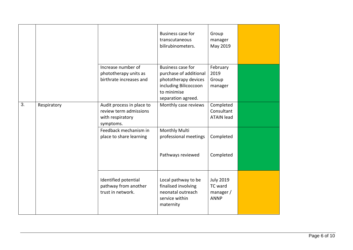|    |             |                                                                                      | Business case for<br>transcutaneous<br>bilirubinometers.                                                                                 | Group<br>manager<br>May 2019                            |  |
|----|-------------|--------------------------------------------------------------------------------------|------------------------------------------------------------------------------------------------------------------------------------------|---------------------------------------------------------|--|
|    |             | Increase number of<br>phototherapy units as<br>birthrate increases and               | <b>Business case for</b><br>purchase of additional<br>phototherapy devices<br>including Bilicoccoon<br>to minimise<br>separation agreed. | February<br>2019<br>Group<br>manager                    |  |
| 3. | Respiratory | Audit process in place to<br>review term admissions<br>with respiratory<br>symptoms. | Monthly case reviews                                                                                                                     | Completed<br>Consultant<br><b>ATAIN lead</b>            |  |
|    |             | Feedback mechanism in<br>place to share learning                                     | Monthly Multi<br>professional meetings                                                                                                   | Completed                                               |  |
|    |             |                                                                                      | Pathways reviewed                                                                                                                        | Completed                                               |  |
|    |             | Identified potential<br>pathway from another<br>trust in network.                    | Local pathway to be<br>finalised involving<br>neonatal outreach<br>service within<br>maternity                                           | <b>July 2019</b><br>TC ward<br>manager /<br><b>ANNP</b> |  |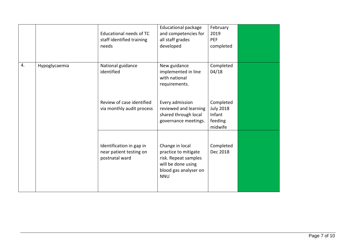|    |               | Educational needs of TC<br>staff identified training<br>needs         | <b>Educational package</b><br>and competencies for<br>all staff grades<br>developed                                          | February<br>2019<br><b>PEF</b><br>completed                   |  |
|----|---------------|-----------------------------------------------------------------------|------------------------------------------------------------------------------------------------------------------------------|---------------------------------------------------------------|--|
| 4. | Hypoglycaemia | National guidance<br>identified                                       | New guidance<br>implemented in line<br>with national<br>requirements.                                                        | Completed<br>04/18                                            |  |
|    |               | Review of case identified<br>via monthly audit process                | Every admission<br>reviewed and learning<br>shared through local<br>governance meetings.                                     | Completed<br><b>July 2018</b><br>Infant<br>feeding<br>midwife |  |
|    |               | Identification in gap in<br>near patient testing on<br>postnatal ward | Change in local<br>practice to mitigate<br>risk. Repeat samples<br>will be done using<br>blood gas analyser on<br><b>NNU</b> | Completed<br>Dec 2018                                         |  |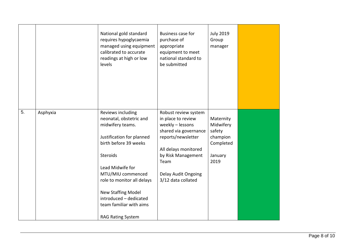|    |          | National gold standard<br>requires hypoglycaemia<br>managed using equipment<br>calibrated to accurate<br>readings at high or low<br>levels                                                                                                                                                                              | <b>Business case for</b><br>purchase of<br>appropriate<br>equipment to meet<br>national standard to<br>be submitted                                                                                              | <b>July 2019</b><br>Group<br>manager                                         |  |
|----|----------|-------------------------------------------------------------------------------------------------------------------------------------------------------------------------------------------------------------------------------------------------------------------------------------------------------------------------|------------------------------------------------------------------------------------------------------------------------------------------------------------------------------------------------------------------|------------------------------------------------------------------------------|--|
| 5. | Asphyxia | Reviews including<br>neonatal, obstetric and<br>midwifery teams.<br>Justification for planned<br>birth before 39 weeks<br>Steroids<br>Lead Midwife for<br>MTU/MIU commenced<br>role to monitor all delays<br><b>New Staffing Model</b><br>introduced - dedicated<br>team familiar with aims<br><b>RAG Rating System</b> | Robust review system<br>in place to review<br>weekly - lessons<br>shared via governance<br>reports/newsletter<br>All delays monitored<br>by Risk Management<br>Team<br>Delay Audit Ongoing<br>3/12 data collated | Maternity<br>Midwifery<br>safety<br>champion<br>Completed<br>January<br>2019 |  |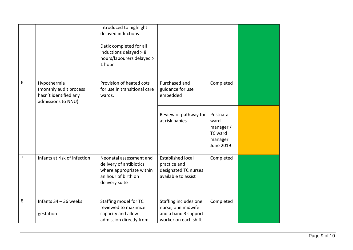|    |                                                                                      | introduced to highlight<br>delayed inductions<br>Datix completed for all<br>inductions delayed > 8<br>hours/labourers delayed ><br>1 hour |                                                                                             |                                                                                 |  |
|----|--------------------------------------------------------------------------------------|-------------------------------------------------------------------------------------------------------------------------------------------|---------------------------------------------------------------------------------------------|---------------------------------------------------------------------------------|--|
| 6. | Hypothermia<br>(monthly audit process<br>hasn't identified any<br>admissions to NNU) | Provision of heated cots<br>for use in transitional care<br>wards.                                                                        | Purchased and<br>guidance for use<br>embedded                                               | Completed                                                                       |  |
|    |                                                                                      |                                                                                                                                           | Review of pathway for<br>at risk babies                                                     | Postnatal<br>ward<br>manager /<br><b>TC</b> ward<br>manager<br><b>June 2019</b> |  |
| 7. | Infants at risk of infection                                                         | Neonatal assessment and<br>delivery of antibiotics<br>where appropriate within<br>an hour of birth on<br>delivery suite                   | <b>Established local</b><br>practice and<br>designated TC nurses<br>available to assist     | Completed                                                                       |  |
| 8. | Infants 34 - 36 weeks<br>gestation                                                   | Staffing model for TC<br>reviewed to maximize<br>capacity and allow<br>admission directly from                                            | Staffing includes one<br>nurse, one midwife<br>and a band 3 support<br>worker on each shift | Completed                                                                       |  |